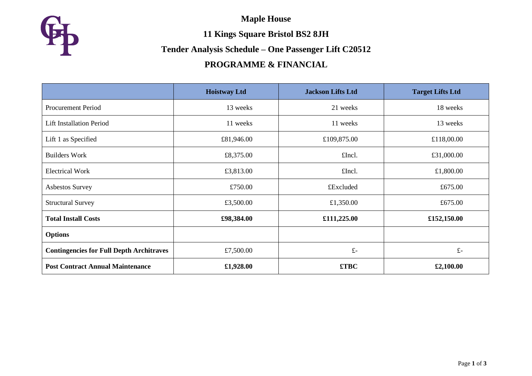**Maple House**



**11 Kings Square Bristol BS2 8JH**

#### **Tender Analysis Schedule – One Passenger Lift C20512**

# **PROGRAMME & FINANCIAL**

|                                                 | <b>Hoistway Ltd</b> | <b>Jackson Lifts Ltd</b> | <b>Target Lifts Ltd</b> |
|-------------------------------------------------|---------------------|--------------------------|-------------------------|
| <b>Procurement Period</b>                       | 13 weeks            | 21 weeks                 | 18 weeks                |
| <b>Lift Installation Period</b>                 | 11 weeks            | 11 weeks                 | 13 weeks                |
| Lift 1 as Specified                             | £81,946.00          | £109,875.00              | £118,00.00              |
| <b>Builders Work</b>                            | £8,375.00           | £Incl.                   | £31,000.00              |
| <b>Electrical Work</b>                          | £3,813.00           | £Incl.                   | £1,800.00               |
| <b>Asbestos Survey</b>                          | £750.00             | £Excluded                | £675.00                 |
| <b>Structural Survey</b>                        | £3,500.00           | £1,350.00                | £675.00                 |
| <b>Total Install Costs</b>                      | £98,384.00          | £111,225.00              | £152,150.00             |
| <b>Options</b>                                  |                     |                          |                         |
| <b>Contingencies for Full Depth Architraves</b> | £7,500.00           | $f -$                    | $f -$                   |
| <b>Post Contract Annual Maintenance</b>         | £1,928.00           | £TBC                     | £2,100.00               |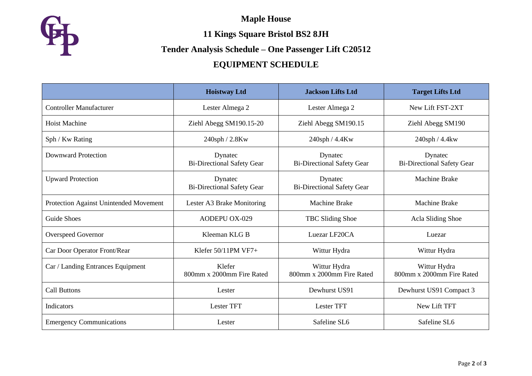**Maple House**



**11 Kings Square Bristol BS2 8JH**

# **Tender Analysis Schedule – One Passenger Lift C20512**

# **EQUIPMENT SCHEDULE**

|                                        | <b>Hoistway Ltd</b>                          | <b>Jackson Lifts Ltd</b>                     | <b>Target Lifts Ltd</b>                      |
|----------------------------------------|----------------------------------------------|----------------------------------------------|----------------------------------------------|
| <b>Controller Manufacturer</b>         | Lester Almega 2                              | Lester Almega 2                              | New Lift FST-2XT                             |
| <b>Hoist Machine</b>                   | Ziehl Abegg SM190.15-20                      | Ziehl Abegg SM190.15                         | Ziehl Abegg SM190                            |
| Sph / Kw Rating                        | 240sph / 2.8Kw                               | 240sph / 4.4Kw                               | 240sph / 4.4kw                               |
| <b>Downward Protection</b>             | Dynatec<br><b>Bi-Directional Safety Gear</b> | Dynatec<br><b>Bi-Directional Safety Gear</b> | Dynatec<br><b>Bi-Directional Safety Gear</b> |
| <b>Upward Protection</b>               | Dynatec<br><b>Bi-Directional Safety Gear</b> | Dynatec<br><b>Bi-Directional Safety Gear</b> | <b>Machine Brake</b>                         |
| Protection Against Unintended Movement | Lester A3 Brake Monitoring                   | <b>Machine Brake</b>                         | <b>Machine Brake</b>                         |
| Guide Shoes                            | <b>AODEPU OX-029</b>                         | TBC Sliding Shoe                             | Acla Sliding Shoe                            |
| <b>Overspeed Governor</b>              | Kleeman KLG B                                | Luezar LF20CA                                | Luezar                                       |
| Car Door Operator Front/Rear           | Klefer $50/11$ PM VF7+                       | Wittur Hydra                                 | Wittur Hydra                                 |
| Car / Landing Entrances Equipment      | Klefer<br>800mm x 2000mm Fire Rated          | Wittur Hydra<br>800mm x 2000mm Fire Rated    | Wittur Hydra<br>800mm x 2000mm Fire Rated    |
| <b>Call Buttons</b>                    | Lester                                       | Dewhurst US91                                | Dewhurst US91 Compact 3                      |
| <b>Indicators</b>                      | <b>Lester TFT</b>                            | Lester TFT                                   | New Lift TFT                                 |
| <b>Emergency Communications</b>        | Lester                                       | Safeline SL6                                 | Safeline SL6                                 |